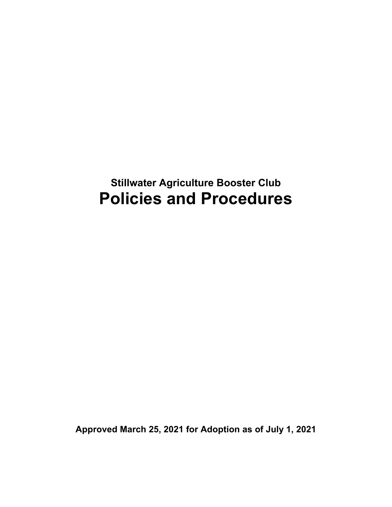# **Stillwater Agriculture Booster Club Policies and Procedures**

**Approved March 25, 2021 for Adoption as of July 1, 2021**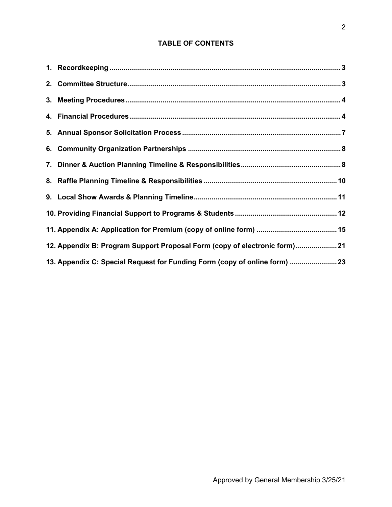# **TABLE OF CONTENTS**

| 12. Appendix B: Program Support Proposal Form (copy of electronic form) 21 |
|----------------------------------------------------------------------------|
| 13. Appendix C: Special Request for Funding Form (copy of online form)  23 |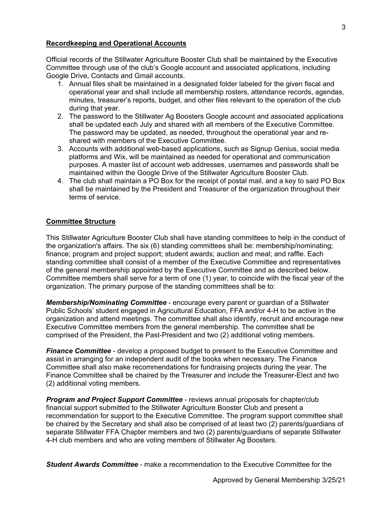#### **Recordkeeping and Operational Accounts**

Official records of the Stillwater Agriculture Booster Club shall be maintained by the Executive Committee through use of the club's Google account and associated applications, including Google Drive, Contacts and Gmail accounts.

- 1. Annual files shall be maintained in a designated folder labeled for the given fiscal and operational year and shall include all membership rosters, attendance records, agendas, minutes, treasurer's reports, budget, and other files relevant to the operation of the club during that year.
- 2. The password to the Stillwater Ag Boosters Google account and associated applications shall be updated each July and shared with all members of the Executive Committee. The password may be updated, as needed, throughout the operational year and reshared with members of the Executive Committee.
- 3. Accounts with additional web-based applications, such as Signup Genius, social media platforms and Wix, will be maintained as needed for operational and communication purposes. A master list of account web addresses, usernames and passwords shall be maintained within the Google Drive of the Stillwater Agriculture Booster Club.
- 4. The club shall maintain a PO Box for the receipt of postal mail, and a key to said PO Box shall be maintained by the President and Treasurer of the organization throughout their terms of service.

# **Committee Structure**

This Stillwater Agriculture Booster Club shall have standing committees to help in the conduct of the organization's affairs. The six (6) standing committees shall be: membership/nominating; finance; program and project support; student awards; auction and meal; and raffle. Each standing committee shall consist of a member of the Executive Committee and representatives of the general membership appointed by the Executive Committee and as described below. Committee members shall serve for a term of one (1) year, to coincide with the fiscal year of the organization. The primary purpose of the standing committees shall be to:

*Membership/Nominating Committee* - encourage every parent or guardian of a Stillwater Public Schools' student engaged in Agricultural Education, FFA and/or 4-H to be active in the organization and attend meetings. The committee shall also identify, recruit and encourage new Executive Committee members from the general membership. The committee shall be comprised of the President, the Past-President and two (2) additional voting members.

*Finance Committee* - develop a proposed budget to present to the Executive Committee and assist in arranging for an independent audit of the books when necessary. The Finance Committee shall also make recommendations for fundraising projects during the year. The Finance Committee shall be chaired by the Treasurer and include the Treasurer-Elect and two (2) additional voting members.

*Program and Project Support Committee* - reviews annual proposals for chapter/club financial support submitted to the Stillwater Agriculture Booster Club and present a recommendation for support to the Executive Committee. The program support committee shall be chaired by the Secretary and shall also be comprised of at least two (2) parents/guardians of separate Stillwater FFA Chapter members and two (2) parents/guardians of separate Stillwater 4-H club members and who are voting members of Stillwater Ag Boosters.

*Student Awards Committee* - make a recommendation to the Executive Committee for the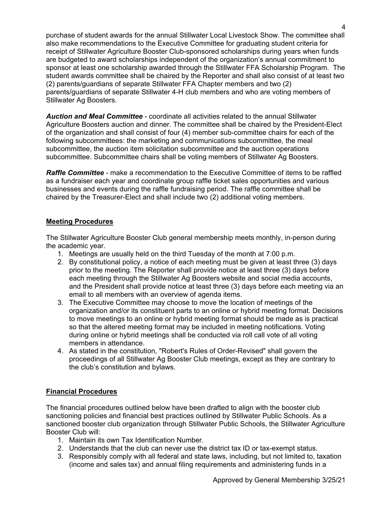purchase of student awards for the annual Stillwater Local Livestock Show. The committee shall also make recommendations to the Executive Committee for graduating student criteria for receipt of Stillwater Agriculture Booster Club-sponsored scholarships during years when funds are budgeted to award scholarships independent of the organization's annual commitment to sponsor at least one scholarship awarded through the Stillwater FFA Scholarship Program. The student awards committee shall be chaired by the Reporter and shall also consist of at least two (2) parents/guardians of separate Stillwater FFA Chapter members and two (2) parents/guardians of separate Stillwater 4-H club members and who are voting members of Stillwater Ag Boosters.

*Auction and Meal Committee* - coordinate all activities related to the annual Stillwater Agriculture Boosters auction and dinner. The committee shall be chaired by the President-Elect of the organization and shall consist of four (4) member sub-committee chairs for each of the following subcommittees: the marketing and communications subcommittee, the meal subcommittee, the auction item solicitation subcommittee and the auction operations subcommittee. Subcommittee chairs shall be voting members of Stillwater Ag Boosters.

*Raffle Committee* - make a recommendation to the Executive Committee of items to be raffled as a fundraiser each year and coordinate group raffle ticket sales opportunities and various businesses and events during the raffle fundraising period. The raffle committee shall be chaired by the Treasurer-Elect and shall include two (2) additional voting members.

# **Meeting Procedures**

The Stillwater Agriculture Booster Club general membership meets monthly, in-person during the academic year.

- 1. Meetings are usually held on the third Tuesday of the month at 7:00 p.m.
- 2. By constitutional policy, a notice of each meeting must be given at least three (3) days prior to the meeting. The Reporter shall provide notice at least three (3) days before each meeting through the Stillwater Ag Boosters website and social media accounts, and the President shall provide notice at least three (3) days before each meeting via an email to all members with an overview of agenda items.
- 3. The Executive Committee may choose to move the location of meetings of the organization and/or its constituent parts to an online or hybrid meeting format. Decisions to move meetings to an online or hybrid meeting format should be made as is practical so that the altered meeting format may be included in meeting notifications. Voting during online or hybrid meetings shall be conducted via roll call vote of all voting members in attendance.
- 4. As stated in the constitution, "Robert's Rules of Order-Revised" shall govern the proceedings of all Stillwater Ag Booster Club meetings, except as they are contrary to the club's constitution and bylaws.

# **Financial Procedures**

The financial procedures outlined below have been drafted to align with the booster club sanctioning policies and financial best practices outlined by Stillwater Public Schools. As a sanctioned booster club organization through Stillwater Public Schools, the Stillwater Agriculture Booster Club will:

- 1. Maintain its own Tax Identification Number.
- 2. Understands that the club can never use the district tax ID or tax-exempt status.
- 3. Responsibly comply with all federal and state laws, including, but not limited to, taxation (income and sales tax) and annual filing requirements and administering funds in a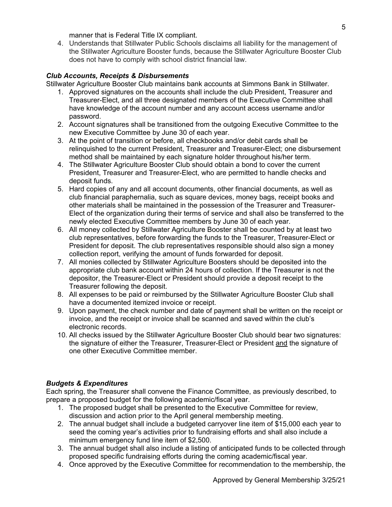manner that is Federal Title IX compliant.

4. Understands that Stillwater Public Schools disclaims all liability for the management of the Stillwater Agriculture Booster funds, because the Stillwater Agriculture Booster Club does not have to comply with school district financial law.

# *Club Accounts, Receipts & Disbursements*

Stillwater Agriculture Booster Club maintains bank accounts at Simmons Bank in Stillwater.

- 1. Approved signatures on the accounts shall include the club President, Treasurer and Treasurer-Elect, and all three designated members of the Executive Committee shall have knowledge of the account number and any account access username and/or password.
- 2. Account signatures shall be transitioned from the outgoing Executive Committee to the new Executive Committee by June 30 of each year.
- 3. At the point of transition or before, all checkbooks and/or debit cards shall be relinquished to the current President, Treasurer and Treasurer-Elect; one disbursement method shall be maintained by each signature holder throughout his/her term.
- 4. The Stillwater Agriculture Booster Club should obtain a bond to cover the current President, Treasurer and Treasurer-Elect, who are permitted to handle checks and deposit funds.
- 5. Hard copies of any and all account documents, other financial documents, as well as club financial paraphernalia, such as square devices, money bags, receipt books and other materials shall be maintained in the possession of the Treasurer and Treasurer-Elect of the organization during their terms of service and shall also be transferred to the newly elected Executive Committee members by June 30 of each year.
- 6. All money collected by Stillwater Agriculture Booster shall be counted by at least two club representatives, before forwarding the funds to the Treasurer, Treasurer-Elect or President for deposit. The club representatives responsible should also sign a money collection report, verifying the amount of funds forwarded for deposit.
- 7. All monies collected by Stillwater Agriculture Boosters should be deposited into the appropriate club bank account within 24 hours of collection. If the Treasurer is not the depositor, the Treasurer-Elect or President should provide a deposit receipt to the Treasurer following the deposit.
- 8. All expenses to be paid or reimbursed by the Stillwater Agriculture Booster Club shall have a documented itemized invoice or receipt.
- 9. Upon payment, the check number and date of payment shall be written on the receipt or invoice, and the receipt or invoice shall be scanned and saved within the club's electronic records.
- 10. All checks issued by the Stillwater Agriculture Booster Club should bear two signatures: the signature of either the Treasurer, Treasurer-Elect or President and the signature of one other Executive Committee member.

# *Budgets & Expenditures*

Each spring, the Treasurer shall convene the Finance Committee, as previously described, to prepare a proposed budget for the following academic/fiscal year.

- 1. The proposed budget shall be presented to the Executive Committee for review, discussion and action prior to the April general membership meeting.
- 2. The annual budget shall include a budgeted carryover line item of \$15,000 each year to seed the coming year's activities prior to fundraising efforts and shall also include a minimum emergency fund line item of \$2,500.
- 3. The annual budget shall also include a listing of anticipated funds to be collected through proposed specific fundraising efforts during the coming academic/fiscal year.
- 4. Once approved by the Executive Committee for recommendation to the membership, the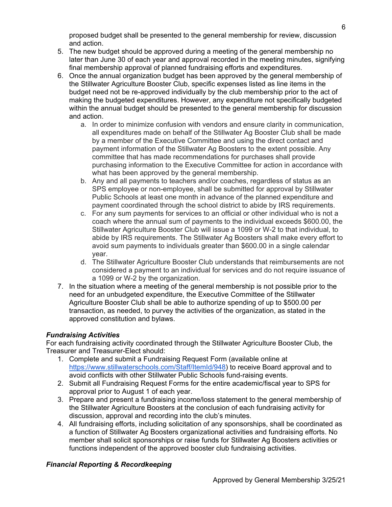proposed budget shall be presented to the general membership for review, discussion and action.

- 5. The new budget should be approved during a meeting of the general membership no later than June 30 of each year and approval recorded in the meeting minutes, signifying final membership approval of planned fundraising efforts and expenditures.
- 6. Once the annual organization budget has been approved by the general membership of the Stillwater Agriculture Booster Club, specific expenses listed as line items in the budget need not be re-approved individually by the club membership prior to the act of making the budgeted expenditures. However, any expenditure not specifically budgeted within the annual budget should be presented to the general membership for discussion and action.
	- a. In order to minimize confusion with vendors and ensure clarity in communication, all expenditures made on behalf of the Stillwater Ag Booster Club shall be made by a member of the Executive Committee and using the direct contact and payment information of the Stillwater Ag Boosters to the extent possible. Any committee that has made recommendations for purchases shall provide purchasing information to the Executive Committee for action in accordance with what has been approved by the general membership.
	- b. Any and all payments to teachers and/or coaches, regardless of status as an SPS employee or non-employee, shall be submitted for approval by Stillwater Public Schools at least one month in advance of the planned expenditure and payment coordinated through the school district to abide by IRS requirements.
	- c. For any sum payments for services to an official or other individual who is not a coach where the annual sum of payments to the individual exceeds \$600.00, the Stillwater Agriculture Booster Club will issue a 1099 or W-2 to that individual, to abide by IRS requirements. The Stillwater Ag Boosters shall make every effort to avoid sum payments to individuals greater than \$600.00 in a single calendar year.
	- d. The Stillwater Agriculture Booster Club understands that reimbursements are not considered a payment to an individual for services and do not require issuance of a 1099 or W-2 by the organization.
- 7. In the situation where a meeting of the general membership is not possible prior to the need for an unbudgeted expenditure, the Executive Committee of the Stillwater Agriculture Booster Club shall be able to authorize spending of up to \$500.00 per transaction, as needed, to purvey the activities of the organization, as stated in the approved constitution and bylaws.

# *Fundraising Activities*

For each fundraising activity coordinated through the Stillwater Agriculture Booster Club, the Treasurer and Treasurer-Elect should:

- 1. Complete and submit a Fundraising Request Form (available online at https://www.stillwaterschools.com/Staff/ItemId/948) to receive Board approval and to avoid conflicts with other Stillwater Public Schools fund-raising events.
- 2. Submit all Fundraising Request Forms for the entire academic/fiscal year to SPS for approval prior to August 1 of each year.
- 3. Prepare and present a fundraising income/loss statement to the general membership of the Stillwater Agriculture Boosters at the conclusion of each fundraising activity for discussion, approval and recording into the club's minutes.
- 4. All fundraising efforts, including solicitation of any sponsorships, shall be coordinated as a function of Stillwater Ag Boosters organizational activities and fundraising efforts. No member shall solicit sponsorships or raise funds for Stillwater Ag Boosters activities or functions independent of the approved booster club fundraising activities.

# *Financial Reporting & Recordkeeping*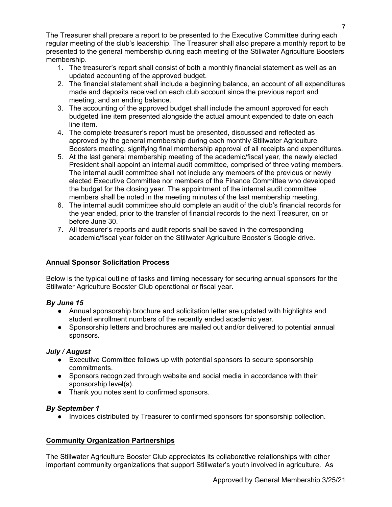The Treasurer shall prepare a report to be presented to the Executive Committee during each regular meeting of the club's leadership. The Treasurer shall also prepare a monthly report to be presented to the general membership during each meeting of the Stillwater Agriculture Boosters membership.

- 1. The treasurer's report shall consist of both a monthly financial statement as well as an updated accounting of the approved budget.
- 2. The financial statement shall include a beginning balance, an account of all expenditures made and deposits received on each club account since the previous report and meeting, and an ending balance.
- 3. The accounting of the approved budget shall include the amount approved for each budgeted line item presented alongside the actual amount expended to date on each line item.
- 4. The complete treasurer's report must be presented, discussed and reflected as approved by the general membership during each monthly Stillwater Agriculture Boosters meeting, signifying final membership approval of all receipts and expenditures.
- 5. At the last general membership meeting of the academic/fiscal year, the newly elected President shall appoint an internal audit committee, comprised of three voting members. The internal audit committee shall not include any members of the previous or newly elected Executive Committee nor members of the Finance Committee who developed the budget for the closing year. The appointment of the internal audit committee members shall be noted in the meeting minutes of the last membership meeting.
- 6. The internal audit committee should complete an audit of the club's financial records for the year ended, prior to the transfer of financial records to the next Treasurer, on or before June 30.
- 7. All treasurer's reports and audit reports shall be saved in the corresponding academic/fiscal year folder on the Stillwater Agriculture Booster's Google drive.

# **Annual Sponsor Solicitation Process**

Below is the typical outline of tasks and timing necessary for securing annual sponsors for the Stillwater Agriculture Booster Club operational or fiscal year.

# *By June 15*

- Annual sponsorship brochure and solicitation letter are updated with highlights and student enrollment numbers of the recently ended academic year.
- Sponsorship letters and brochures are mailed out and/or delivered to potential annual sponsors.

# *July / August*

- Executive Committee follows up with potential sponsors to secure sponsorship commitments.
- Sponsors recognized through website and social media in accordance with their sponsorship level(s).
- Thank you notes sent to confirmed sponsors.

# *By September 1*

● Invoices distributed by Treasurer to confirmed sponsors for sponsorship collection.

# **Community Organization Partnerships**

The Stillwater Agriculture Booster Club appreciates its collaborative relationships with other important community organizations that support Stillwater's youth involved in agriculture. As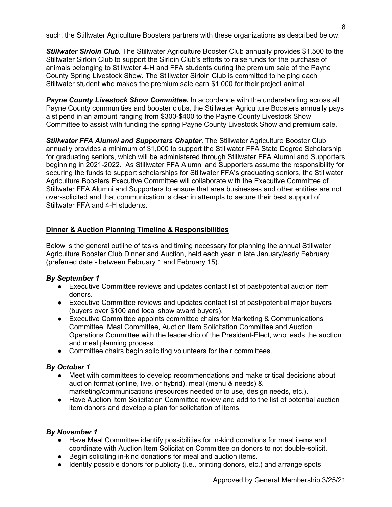such, the Stillwater Agriculture Boosters partners with these organizations as described below:

*Stillwater Sirloin Club.* The Stillwater Agriculture Booster Club annually provides \$1,500 to the Stillwater Sirloin Club to support the Sirloin Club's efforts to raise funds for the purchase of animals belonging to Stillwater 4-H and FFA students during the premium sale of the Payne County Spring Livestock Show. The Stillwater Sirloin Club is committed to helping each Stillwater student who makes the premium sale earn \$1,000 for their project animal.

**Payne County Livestock Show Committee.** In accordance with the understanding across all Payne County communities and booster clubs, the Stillwater Agriculture Boosters annually pays a stipend in an amount ranging from \$300-\$400 to the Payne County Livestock Show Committee to assist with funding the spring Payne County Livestock Show and premium sale.

**Stillwater FFA Alumni and Supporters Chapter.** The Stillwater Agriculture Booster Club annually provides a minimum of \$1,000 to support the Stillwater FFA State Degree Scholarship for graduating seniors, which will be administered through Stillwater FFA Alumni and Supporters beginning in 2021-2022. As Stillwater FFA Alumni and Supporters assume the responsibility for securing the funds to support scholarships for Stillwater FFA's graduating seniors, the Stillwater Agriculture Boosters Executive Committee will collaborate with the Executive Committee of Stillwater FFA Alumni and Supporters to ensure that area businesses and other entities are not over-solicited and that communication is clear in attempts to secure their best support of Stillwater FFA and 4-H students.

# **Dinner & Auction Planning Timeline & Responsibilities**

Below is the general outline of tasks and timing necessary for planning the annual Stillwater Agriculture Booster Club Dinner and Auction, held each year in late January/early February (preferred date - between February 1 and February 15).

# *By September 1*

- Executive Committee reviews and updates contact list of past/potential auction item donors.
- Executive Committee reviews and updates contact list of past/potential major buyers (buyers over \$100 and local show award buyers).
- Executive Committee appoints committee chairs for Marketing & Communications Committee, Meal Committee, Auction Item Solicitation Committee and Auction Operations Committee with the leadership of the President-Elect, who leads the auction and meal planning process.
- Committee chairs begin soliciting volunteers for their committees.

# *By October 1*

- Meet with committees to develop recommendations and make critical decisions about auction format (online, live, or hybrid), meal (menu & needs) & marketing/communications (resources needed or to use, design needs, etc.).
- Have Auction Item Solicitation Committee review and add to the list of potential auction item donors and develop a plan for solicitation of items.

#### *By November 1*

- Have Meal Committee identify possibilities for in-kind donations for meal items and coordinate with Auction Item Solicitation Committee on donors to not double-solicit.
- Begin soliciting in-kind donations for meal and auction items.
- Identify possible donors for publicity (i.e., printing donors, etc.) and arrange spots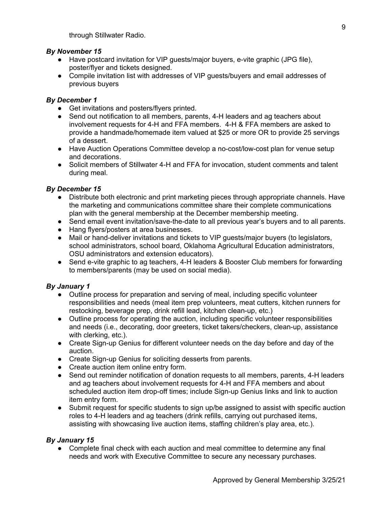through Stillwater Radio.

# *By November 15*

- Have postcard invitation for VIP guests/major buyers, e-vite graphic (JPG file), poster/flyer and tickets designed.
- Compile invitation list with addresses of VIP guests/buyers and email addresses of previous buyers

# *By December 1*

- Get invitations and posters/flyers printed.
- Send out notification to all members, parents, 4-H leaders and ag teachers about involvement requests for 4-H and FFA members. 4-H & FFA members are asked to provide a handmade/homemade item valued at \$25 or more OR to provide 25 servings of a dessert.
- Have Auction Operations Committee develop a no-cost/low-cost plan for venue setup and decorations.
- Solicit members of Stillwater 4-H and FFA for invocation, student comments and talent during meal.

# *By December 15*

- Distribute both electronic and print marketing pieces through appropriate channels. Have the marketing and communications committee share their complete communications plan with the general membership at the December membership meeting.
- Send email event invitation/save-the-date to all previous year's buyers and to all parents.
- Hang flyers/posters at area businesses.
- Mail or hand-deliver invitations and tickets to VIP guests/major buyers (to legislators, school administrators, school board, Oklahoma Agricultural Education administrators, OSU administrators and extension educators).
- Send e-vite graphic to ag teachers, 4-H leaders & Booster Club members for forwarding to members/parents (may be used on social media).

#### *By January 1*

- Outline process for preparation and serving of meal, including specific volunteer responsibilities and needs (meal item prep volunteers, meat cutters, kitchen runners for restocking, beverage prep, drink refill lead, kitchen clean-up, etc.)
- Outline process for operating the auction, including specific volunteer responsibilities and needs (i.e., decorating, door greeters, ticket takers/checkers, clean-up, assistance with clerking, etc.).
- Create Sign-up Genius for different volunteer needs on the day before and day of the auction.
- Create Sign-up Genius for soliciting desserts from parents.
- Create auction item online entry form.
- Send out reminder notification of donation requests to all members, parents, 4-H leaders and ag teachers about involvement requests for 4-H and FFA members and about scheduled auction item drop-off times; include Sign-up Genius links and link to auction item entry form.
- Submit request for specific students to sign up/be assigned to assist with specific auction roles to 4-H leaders and ag teachers (drink refills, carrying out purchased items, assisting with showcasing live auction items, staffing children's play area, etc.).

# *By January 15*

• Complete final check with each auction and meal committee to determine any final needs and work with Executive Committee to secure any necessary purchases.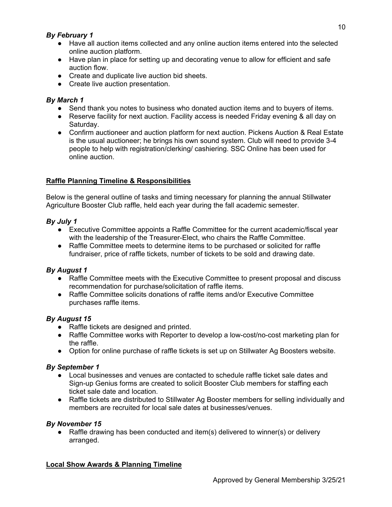# *By February 1*

- Have all auction items collected and any online auction items entered into the selected online auction platform.
- Have plan in place for setting up and decorating venue to allow for efficient and safe auction flow.
- Create and duplicate live auction bid sheets.
- Create live auction presentation.

# *By March 1*

- Send thank you notes to business who donated auction items and to buyers of items.
- Reserve facility for next auction. Facility access is needed Friday evening & all day on Saturday.
- Confirm auctioneer and auction platform for next auction. Pickens Auction & Real Estate is the usual auctioneer; he brings his own sound system. Club will need to provide 3-4 people to help with registration/clerking/ cashiering. SSC Online has been used for online auction.

# **Raffle Planning Timeline & Responsibilities**

Below is the general outline of tasks and timing necessary for planning the annual Stillwater Agriculture Booster Club raffle, held each year during the fall academic semester.

# *By July 1*

- Executive Committee appoints a Raffle Committee for the current academic/fiscal year with the leadership of the Treasurer-Elect, who chairs the Raffle Committee.
- Raffle Committee meets to determine items to be purchased or solicited for raffle fundraiser, price of raffle tickets, number of tickets to be sold and drawing date.

# *By August 1*

- Raffle Committee meets with the Executive Committee to present proposal and discuss recommendation for purchase/solicitation of raffle items.
- Raffle Committee solicits donations of raffle items and/or Executive Committee purchases raffle items.

# *By August 15*

- Raffle tickets are designed and printed.
- Raffle Committee works with Reporter to develop a low-cost/no-cost marketing plan for the raffle.
- Option for online purchase of raffle tickets is set up on Stillwater Ag Boosters website.

# *By September 1*

- Local businesses and venues are contacted to schedule raffle ticket sale dates and Sign-up Genius forms are created to solicit Booster Club members for staffing each ticket sale date and location.
- Raffle tickets are distributed to Stillwater Ag Booster members for selling individually and members are recruited for local sale dates at businesses/venues.

# *By November 15*

● Raffle drawing has been conducted and item(s) delivered to winner(s) or delivery arranged.

# **Local Show Awards & Planning Timeline**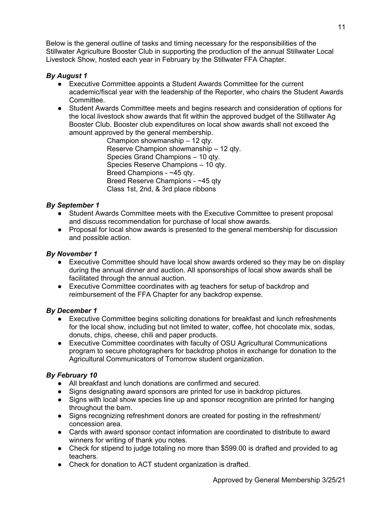Below is the general outline of tasks and timing necessary for the responsibilities of the Stillwater Agriculture Booster Club in supporting the production of the annual Stillwater Local Livestock Show, hosted each year in February by the Stillwater FFA Chapter.

# *By August 1*

- Executive Committee appoints a Student Awards Committee for the current academic/fiscal year with the leadership of the Reporter, who chairs the Student Awards Committee.
- Student Awards Committee meets and begins research and consideration of options for the local livestock show awards that fit within the approved budget of the Stillwater Ag Booster Club. Booster club expenditures on local show awards shall not exceed the amount approved by the general membership.

Champion showmanship – 12 qty. Reserve Champion showmanship – 12 qty. Species Grand Champions – 10 qty. Species Reserve Champions – 10 qty. Breed Champions - ~45 qty. Breed Reserve Champions - ~45 qty Class 1st, 2nd, & 3rd place ribbons

# *By September 1*

- Student Awards Committee meets with the Executive Committee to present proposal and discuss recommendation for purchase of local show awards.
- Proposal for local show awards is presented to the general membership for discussion and possible action.

## *By November 1*

- Executive Committee should have local show awards ordered so they may be on display during the annual dinner and auction. All sponsorships of local show awards shall be facilitated through the annual auction.
- Executive Committee coordinates with ag teachers for setup of backdrop and reimbursement of the FFA Chapter for any backdrop expense.

# *By December 1*

- Executive Committee begins soliciting donations for breakfast and lunch refreshments for the local show, including but not limited to water, coffee, hot chocolate mix, sodas, donuts, chips, cheese, chili and paper products.
- Executive Committee coordinates with faculty of OSU Agricultural Communications program to secure photographers for backdrop photos in exchange for donation to the Agricultural Communicators of Tomorrow student organization.

# *By February 10*

- All breakfast and lunch donations are confirmed and secured.
- Signs designating award sponsors are printed for use in backdrop pictures.
- Signs with local show species line up and sponsor recognition are printed for hanging throughout the barn.
- Signs recognizing refreshment donors are created for posting in the refreshment/ concession area.
- Cards with award sponsor contact information are coordinated to distribute to award winners for writing of thank you notes.
- Check for stipend to judge totaling no more than \$599.00 is drafted and provided to ag teachers.
- Check for donation to ACT student organization is drafted.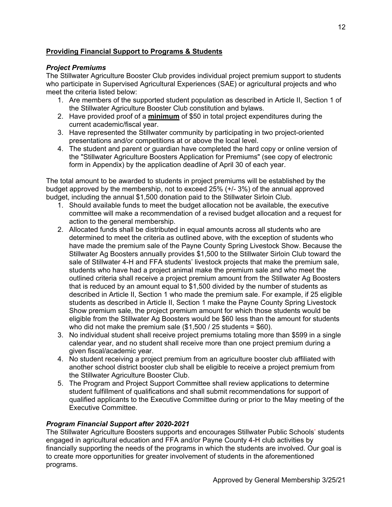# **Providing Financial Support to Programs & Students**

# *Project Premiums*

The Stillwater Agriculture Booster Club provides individual project premium support to students who participate in Supervised Agricultural Experiences (SAE) or agricultural projects and who meet the criteria listed below:

- 1. Are members of the supported student population as described in Article II, Section 1 of the Stillwater Agriculture Booster Club constitution and bylaws.
- 2. Have provided proof of a **minimum** of \$50 in total project expenditures during the current academic/fiscal year.
- 3. Have represented the Stillwater community by participating in two project-oriented presentations and/or competitions at or above the local level.
- 4. The student and parent or guardian have completed the hard copy or online version of the "Stillwater Agriculture Boosters Application for Premiums" (see copy of electronic form in Appendix) by the application deadline of April 30 of each year.

The total amount to be awarded to students in project premiums will be established by the budget approved by the membership, not to exceed 25% (+/- 3%) of the annual approved budget, including the annual \$1,500 donation paid to the Stillwater Sirloin Club.

- 1. Should available funds to meet the budget allocation not be available, the executive committee will make a recommendation of a revised budget allocation and a request for action to the general membership.
- 2. Allocated funds shall be distributed in equal amounts across all students who are determined to meet the criteria as outlined above, with the exception of students who have made the premium sale of the Payne County Spring Livestock Show. Because the Stillwater Ag Boosters annually provides \$1,500 to the Stillwater Sirloin Club toward the sale of Stillwater 4-H and FFA students' livestock projects that make the premium sale, students who have had a project animal make the premium sale and who meet the outlined criteria shall receive a project premium amount from the Stillwater Ag Boosters that is reduced by an amount equal to \$1,500 divided by the number of students as described in Article II, Section 1 who made the premium sale. For example, if 25 eligible students as described in Article II, Section 1 make the Payne County Spring Livestock Show premium sale, the project premium amount for which those students would be eligible from the Stillwater Ag Boosters would be \$60 less than the amount for students who did not make the premium sale  $(\$1,500 / 25$  students =  $\$60$ ).
- 3. No individual student shall receive project premiums totaling more than \$599 in a single calendar year, and no student shall receive more than one project premium during a given fiscal/academic year.
- 4. No student receiving a project premium from an agriculture booster club affiliated with another school district booster club shall be eligible to receive a project premium from the Stillwater Agriculture Booster Club.
- 5. The Program and Project Support Committee shall review applications to determine student fulfillment of qualifications and shall submit recommendations for support of qualified applicants to the Executive Committee during or prior to the May meeting of the Executive Committee.

# *Program Financial Support after 2020-2021*

The Stillwater Agriculture Boosters supports and encourages Stillwater Public Schools' students engaged in agricultural education and FFA and/or Payne County 4-H club activities by financially supporting the needs of the programs in which the students are involved. Our goal is to create more opportunities for greater involvement of students in the aforementioned programs.